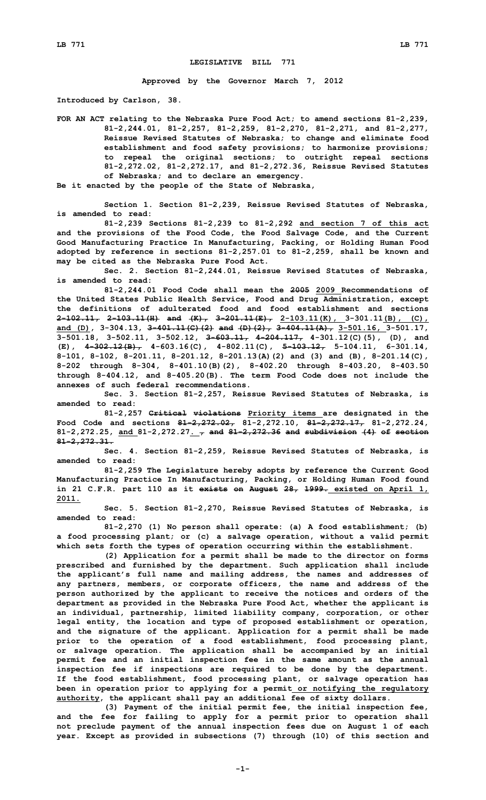## **LEGISLATIVE BILL 771**

**Approved by the Governor March 7, 2012**

**Introduced by Carlson, 38.**

**FOR AN ACT relating to the Nebraska Pure Food Act; to amend sections 81-2,239, 81-2,244.01, 81-2,257, 81-2,259, 81-2,270, 81-2,271, and 81-2,277, Reissue Revised Statutes of Nebraska; to change and eliminate food establishment and food safety provisions; to harmonize provisions; to repeal the original sections; to outright repeal sections 81-2,272.02, 81-2,272.17, and 81-2,272.36, Reissue Revised Statutes of Nebraska; and to declare an emergency.**

**Be it enacted by the people of the State of Nebraska,**

**Section 1. Section 81-2,239, Reissue Revised Statutes of Nebraska, is amended to read:**

**81-2,239 Sections 81-2,239 to 81-2,292 and section 7 of this act and the provisions of the Food Code, the Food Salvage Code, and the Current Good Manufacturing Practice In Manufacturing, Packing, or Holding Human Food adopted by reference in sections 81-2,257.01 to 81-2,259, shall be known and may be cited as the Nebraska Pure Food Act.**

**Sec. 2. Section 81-2,244.01, Reissue Revised Statutes of Nebraska, is amended to read:**

**81-2,244.01 Food Code shall mean the 2005 2009 Recommendations of the United States Public Health Service, Food and Drug Administration, except the definitions of adulterated food and food establishment and sections 2-102.11, 2-103.11(H) and (K), 3-201.11(E), 2-103.11(K), 3-301.11(B), (C), and (D), 3-304.13, 3-401.11(C)(2) and (D)(2), 3-404.11(A), 3-501.16, 3-501.17, 3-501.18, 3-502.11, 3-502.12, 3-603.11, 4-204.117, 4-301.12(C)(5), (D), and (E), 4-302.12(B), 4-603.16(C), 4-802.11(C), 5-103.12, 5-104.11, 6-301.14, 8-101, 8-102, 8-201.11, 8-201.12, 8-201.13(A)(2) and (3) and (B), 8-201.14(C), 8-202 through 8-304, 8-401.10(B)(2), 8-402.20 through 8-403.20, 8-403.50 through 8-404.12, and 8-405.20(B). The term Food Code does not include the annexes of such federal recommendations.**

**Sec. 3. Section 81-2,257, Reissue Revised Statutes of Nebraska, is amended to read:**

**81-2,257 Critical violations Priority items are designated in the Food Code and sections 81-2,272.02, 81-2,272.10, 81-2,272.17, 81-2,272.24, 81-2,272.25, and 81-2,272.27. , and 81-2,272.36 and subdivision (4) of section 81-2,272.31.**

**Sec. 4. Section 81-2,259, Reissue Revised Statutes of Nebraska, is amended to read:**

**81-2,259 The Legislature hereby adopts by reference the Current Good Manufacturing Practice In Manufacturing, Packing, or Holding Human Food found in 21 C.F.R. part 110 as it exists on August 28, 1999. existed on April 1, 2011.**

**Sec. 5. Section 81-2,270, Reissue Revised Statutes of Nebraska, is amended to read:**

**81-2,270 (1) No person shall operate: (a) <sup>A</sup> food establishment; (b) <sup>a</sup> food processing plant; or (c) <sup>a</sup> salvage operation, without <sup>a</sup> valid permit which sets forth the types of operation occurring within the establishment.**

**(2) Application for <sup>a</sup> permit shall be made to the director on forms prescribed and furnished by the department. Such application shall include the applicant's full name and mailing address, the names and addresses of any partners, members, or corporate officers, the name and address of the person authorized by the applicant to receive the notices and orders of the department as provided in the Nebraska Pure Food Act, whether the applicant is an individual, partnership, limited liability company, corporation, or other legal entity, the location and type of proposed establishment or operation, and the signature of the applicant. Application for <sup>a</sup> permit shall be made prior to the operation of <sup>a</sup> food establishment, food processing plant, or salvage operation. The application shall be accompanied by an initial permit fee and an initial inspection fee in the same amount as the annual inspection fee if inspections are required to be done by the department. If the food establishment, food processing plant, or salvage operation has been in operation prior to applying for <sup>a</sup> permit or notifying the regulatory authority, the applicant shall pay an additional fee of sixty dollars.**

**(3) Payment of the initial permit fee, the initial inspection fee, and the fee for failing to apply for <sup>a</sup> permit prior to operation shall not preclude payment of the annual inspection fees due on August 1 of each year. Except as provided in subsections (7) through (10) of this section and**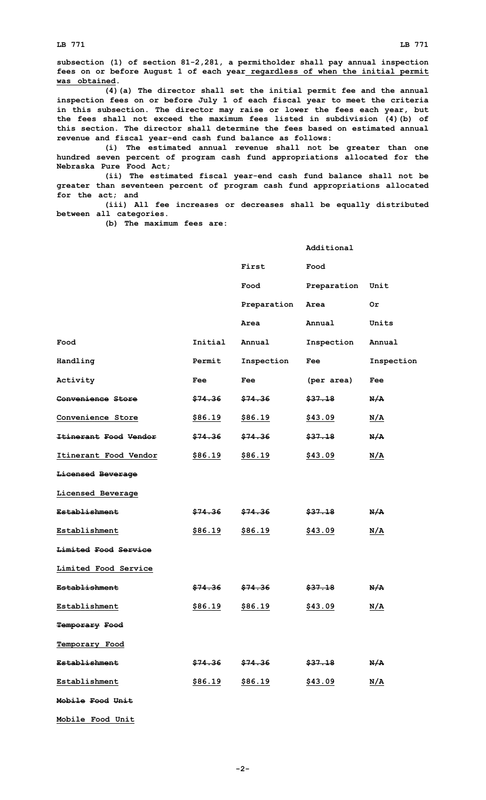**LB 771 LB 771**

**subsection (1) of section 81-2,281, <sup>a</sup> permitholder shall pay annual inspection fees on or before August 1 of each year regardless of when the initial permit was obtained.**

**(4)(a) The director shall set the initial permit fee and the annual inspection fees on or before July 1 of each fiscal year to meet the criteria in this subsection. The director may raise or lower the fees each year, but the fees shall not exceed the maximum fees listed in subdivision (4)(b) of this section. The director shall determine the fees based on estimated annual revenue and fiscal year-end cash fund balance as follows:**

**(i) The estimated annual revenue shall not be greater than one hundred seven percent of program cash fund appropriations allocated for the Nebraska Pure Food Act;**

**(ii) The estimated fiscal year-end cash fund balance shall not be greater than seventeen percent of program cash fund appropriations allocated for the act; and**

**(iii) All fee increases or decreases shall be equally distributed between all categories.**

**Additional**

**(b) The maximum fees are:**

|                          |                    | First                                   | Food               |            |
|--------------------------|--------------------|-----------------------------------------|--------------------|------------|
|                          |                    | Food                                    | Preparation Unit   |            |
|                          |                    | Preparation                             | Area               | 0r         |
|                          |                    | Area                                    | Annual             | Units      |
| Food                     | Initial            | Annual                                  | Inspection         | Annual     |
| Handling                 | Permit             | Inspection                              | Fee                | Inspection |
| Activity                 | Fee                | Fee                                     | (per area)         | Fee        |
| <b>Convenience Store</b> | \$74.36            | <del>\$74.36</del>                      | \$37.18            | N/A        |
| Convenience Store        | \$86.19            | <u>\$86.19</u>                          | <u>\$43.09</u>     | N/A        |
| Itinerant Food Vendor    | <del>\$74.36</del> | \$74.36                                 | <del>\$37.18</del> | N/A        |
| Itinerant Food Vendor    | \$86.19            | \$86.19                                 | \$43.09            | N/A        |
| Licensed Beverage        |                    |                                         |                    |            |
| Licensed Beverage        |                    |                                         |                    |            |
| <b>Establishment</b>     | <del>\$74.36</del> | <del>\$74.36</del>                      | <del>\$37.18</del> | N/A        |
| Establishment            | \$86.19            | \$86.19                                 | \$43.09            | <u>N/A</u> |
| Limited Food Service     |                    |                                         |                    |            |
| Limited Food Service     |                    |                                         |                    |            |
| <b>Establishment</b>     | <del>\$74.36</del> | \$74.36                                 | <del>\$37.18</del> | N/A        |
| <b>Establishment</b>     | \$86.19            | \$86.19                                 | \$43.09            | <u>N/A</u> |
| <b>Temporary Food</b>    |                    |                                         |                    |            |
| Temporary Food           |                    |                                         |                    |            |
| <b>Establishment</b>     |                    | $$74.36$ $$74.36$ $$37.18$ $\text{N/A}$ |                    |            |
| Establishment            |                    | <u>\$86.19</u> \$86.19                  | <u>\$43.09</u>     | N/A        |
| Mobile Food Unit         |                    |                                         |                    |            |
| Mobile Food Unit         |                    |                                         |                    |            |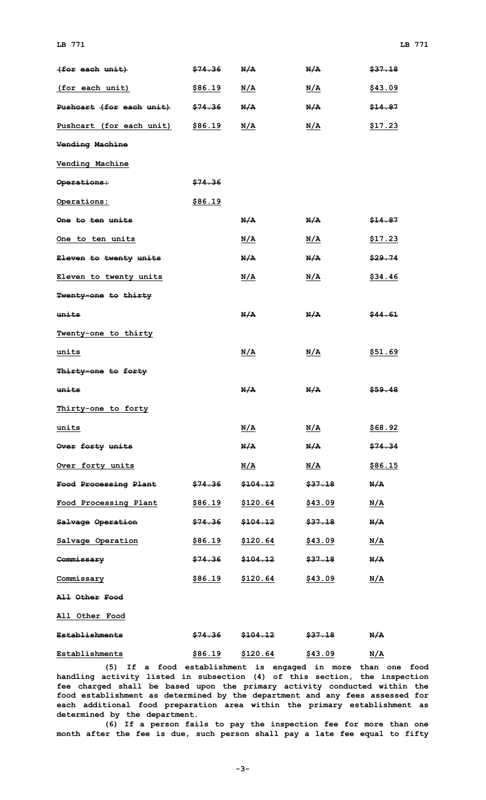| (for each unit)                             | <del>\$74.36</del> | N/A                 | N/A                | \$37.18            |
|---------------------------------------------|--------------------|---------------------|--------------------|--------------------|
| (for each unit)                             | <u>\$86.19</u>     | N/A                 | <u>N/A</u>         | \$43.09            |
| <del>Pushcart (for each unit) \$74.36</del> |                    | N/A                 | N/A                | \$14.87            |
| Pushcart (for each unit) \$86.19            |                    | N/A                 | N/A                | \$17.23            |
| <b>Vending Machine</b>                      |                    |                     |                    |                    |
| <b>Vending Machine</b>                      |                    |                     |                    |                    |
| <del>Operations:</del>                      | <del>\$74.36</del> |                     |                    |                    |
| Operations:                                 | \$86.19            |                     |                    |                    |
| <del>One to ten units</del>                 |                    | N/A                 | N/A                | \$14.87            |
| One to ten units                            |                    | <u>N/A</u>          | <u>N/A</u>         | <u>\$17.23</u>     |
| <del>Eleven to twenty units</del>           |                    | N/A                 | N/A                | \$29.74            |
| Eleven to twenty units                      |                    | N/A                 | N/A                | \$34.46            |
| <b>Twenty-one to thirty</b>                 |                    |                     |                    |                    |
| <del>units</del>                            |                    | N/A                 | N/A                | <del>\$44.61</del> |
| Twenty-one to thirty                        |                    |                     |                    |                    |
| <u>units</u>                                |                    | <u>N/A</u>          | <u>N/A</u>         | <u>\$51.69</u>     |
| Thirty-one to forty                         |                    |                     |                    |                    |
| <del>units</del>                            |                    | N/A                 | N/A                | \$59.48            |
| <u>Thirty-one to forty</u>                  |                    |                     |                    |                    |
| units                                       |                    | N/A                 | <u>N/A</u>         | \$68.92            |
| Over forty units                            |                    | N/A                 | N/A                | \$74.34            |
| Over forty units                            |                    | <u>N/A</u>          | N/A                | <u>\$86.15</u>     |
| <del>Food Processing Plant</del>            | <del>\$74.36</del> | \$104.12            | <del>\$37.18</del> | N/A                |
| Food Processing Plant                       | <u>\$86.19</u>     | \$120.64            | \$43.09            | N/A                |
| Salvage Operation                           | <del>\$74.36</del> | <del>\$104.12</del> | <del>\$37.18</del> | N/A                |
| Salvage Operation                           | <u>\$86.19</u>     | <u>\$120.64</u>     | <u>\$43.09</u>     | <u>N/A</u>         |
| Commissary                                  | \$74.36            | <del>\$104.12</del> | \$37.18            | N/A                |
| Commissary                                  | <u>\$86.19</u>     | \$120.64            | \$43.09            | <u>N/A</u>         |
| <b>All Other Food</b>                       |                    |                     |                    |                    |
| All Other Food                              |                    |                     |                    |                    |
| <b>Establishments</b>                       | <del>\$74.36</del> | <del>\$104.12</del> | <del>\$37.18</del> | N/A                |
| Establishments                              | \$86.19            | \$120.64            | \$43.09            | N/A                |

**(5) If <sup>a</sup> food establishment is engaged in more than one food handling activity listed in subsection (4) of this section, the inspection fee charged shall be based upon the primary activity conducted within the food establishment as determined by the department and any fees assessed for each additional food preparation area within the primary establishment as determined by the department.**

**(6) If <sup>a</sup> person fails to pay the inspection fee for more than one month after the fee is due, such person shall pay <sup>a</sup> late fee equal to fifty**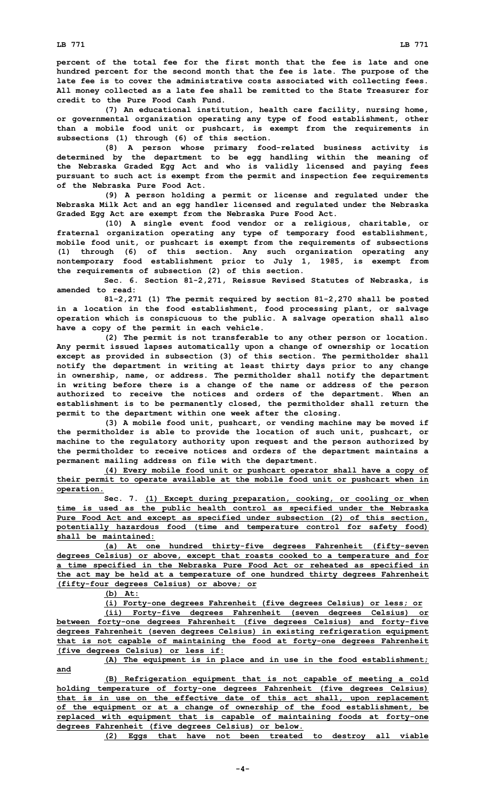**percent of the total fee for the first month that the fee is late and one hundred percent for the second month that the fee is late. The purpose of the late fee is to cover the administrative costs associated with collecting fees. All money collected as <sup>a</sup> late fee shall be remitted to the State Treasurer for credit to the Pure Food Cash Fund.**

**(7) An educational institution, health care facility, nursing home, or governmental organization operating any type of food establishment, other than <sup>a</sup> mobile food unit or pushcart, is exempt from the requirements in subsections (1) through (6) of this section.**

**(8) <sup>A</sup> person whose primary food-related business activity is determined by the department to be egg handling within the meaning of the Nebraska Graded Egg Act and who is validly licensed and paying fees pursuant to such act is exempt from the permit and inspection fee requirements of the Nebraska Pure Food Act.**

**(9) <sup>A</sup> person holding <sup>a</sup> permit or license and regulated under the Nebraska Milk Act and an egg handler licensed and regulated under the Nebraska Graded Egg Act are exempt from the Nebraska Pure Food Act.**

**(10) <sup>A</sup> single event food vendor or <sup>a</sup> religious, charitable, or fraternal organization operating any type of temporary food establishment, mobile food unit, or pushcart is exempt from the requirements of subsections (1) through (6) of this section. Any such organization operating any nontemporary food establishment prior to July 1, 1985, is exempt from the requirements of subsection (2) of this section.**

**Sec. 6. Section 81-2,271, Reissue Revised Statutes of Nebraska, is amended to read:**

**81-2,271 (1) The permit required by section 81-2,270 shall be posted in <sup>a</sup> location in the food establishment, food processing plant, or salvage operation which is conspicuous to the public. A salvage operation shall also have <sup>a</sup> copy of the permit in each vehicle.**

**(2) The permit is not transferable to any other person or location. Any permit issued lapses automatically upon <sup>a</sup> change of ownership or location except as provided in subsection (3) of this section. The permitholder shall notify the department in writing at least thirty days prior to any change in ownership, name, or address. The permitholder shall notify the department in writing before there is <sup>a</sup> change of the name or address of the person authorized to receive the notices and orders of the department. When an establishment is to be permanently closed, the permitholder shall return the permit to the department within one week after the closing.**

**(3) <sup>A</sup> mobile food unit, pushcart, or vending machine may be moved if the permitholder is able to provide the location of such unit, pushcart, or machine to the regulatory authority upon request and the person authorized by the permitholder to receive notices and orders of the department maintains <sup>a</sup> permanent mailing address on file with the department.**

**(4) Every mobile food unit or pushcart operator shall have <sup>a</sup> copy of their permit to operate available at the mobile food unit or pushcart when in operation.**

**Sec. 7. (1) Except during preparation, cooking, or cooling or when time is used as the public health control as specified under the Nebraska Pure Food Act and except as specified under subsection (2) of this section, potentially hazardous food (time and temperature control for safety food) shall be maintained:**

**(a) At one hundred thirty-five degrees Fahrenheit (fifty-seven degrees Celsius) or above, except that roasts cooked to <sup>a</sup> temperature and for <sup>a</sup> time specified in the Nebraska Pure Food Act or reheated as specified in the act may be held at <sup>a</sup> temperature of one hundred thirty degrees Fahrenheit (fifty-four degrees Celsius) or above; or**

**(b) At:**

**(i) Forty-one degrees Fahrenheit (five degrees Celsius) or less; or**

**(ii) Forty-five degrees Fahrenheit (seven degrees Celsius) or between forty-one degrees Fahrenheit (five degrees Celsius) and forty-five degrees Fahrenheit (seven degrees Celsius) in existing refrigeration equipment that is not capable of maintaining the food at forty-one degrees Fahrenheit (five degrees Celsius) or less if:**

**(A) The equipment is in place and in use in the food establishment; and**

**(B) Refrigeration equipment that is not capable of meeting <sup>a</sup> cold holding temperature of forty-one degrees Fahrenheit (five degrees Celsius) that is in use on the effective date of this act shall, upon replacement of the equipment or at <sup>a</sup> change of ownership of the food establishment, be replaced with equipment that is capable of maintaining foods at forty-one degrees Fahrenheit (five degrees Celsius) or below.**

**(2) Eggs that have not been treated to destroy all viable**